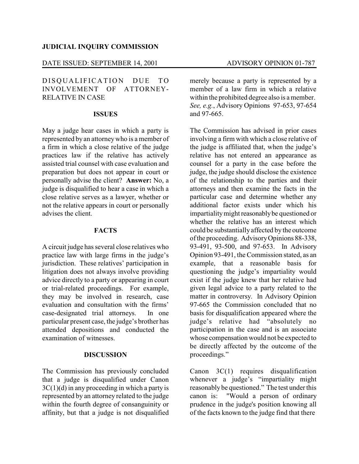#### **JUDICIAL INQUIRY COMMISSION**

### DATE ISSUED: SEPTEMBER 14, 2001 ADVISORY OPINION 01-787

# DISQUALIFICATION DUE TO INVOLVEMENT OF ATTORNEY-RELATIVE IN CASE

#### **ISSUES**

May a judge hear cases in which a party is represented by an attorneywho is a member of a firm in which a close relative of the judge practices law if the relative has actively assisted trial counsel with case evaluation and preparation but does not appear in court or personally advise the client? **Answer:** No, a judge is disqualified to hear a case in which a close relative serves as a lawyer, whether or not the relative appears in court or personally advises the client.

# **FACTS**

A circuit judge has several close relatives who practice law with large firms in the judge's jurisdiction. These relatives' participation in litigation does not always involve providing advice directly to a party or appearing in court or trial-related proceedings. For example, they may be involved in research, case evaluation and consultation with the firms' case-designated trial attorneys. In one particular present case, the judge's brother has attended depositions and conducted the examination of witnesses.

## **DISCUSSION**

The Commission has previously concluded that a judge is disqualified under Canon  $3C(1)(d)$  in any proceeding in which a party is represented by an attorney related to the judge within the fourth degree of consanguinity or affinity, but that a judge is not disqualified merely because a party is represented by a member of a law firm in which a relative within the prohibited degree also is a member. *See, e.g.*, Advisory Opinions 97-653, 97-654 and 97-665.

The Commission has advised in prior cases involving a firm with which a close relative of the judge is affiliated that, when the judge's relative has not entered an appearance as counsel for a party in the case before the judge, the judge should disclose the existence of the relationship to the parties and their attorneys and then examine the facts in the particular case and determine whether any additional factor exists under which his impartialitymight reasonablybe questioned or whether the relative has an interest which could be substantially affected by the outcome of the proceeding. AdvisoryOpinions 88-338, 93-491, 93-500, and 97-653. In Advisory Opinion 93-491, the Commission stated, as an example, that a reasonable basis for questioning the judge's impartiality would exist if the judge knew that her relative had given legal advice to a party related to the matter in controversy. In Advisory Opinion 97-665 the Commission concluded that no basis for disqualification appeared where the judge's relative had "absolutely no participation in the case and is an associate whose compensation would not be expected to be directly affected by the outcome of the proceedings."

Canon 3C(1) requires disqualification whenever a judge's "impartiality might reasonably be questioned." The test under this canon is: "Would a person of ordinary prudence in the judge's position knowing all of the facts known to the judge find that there